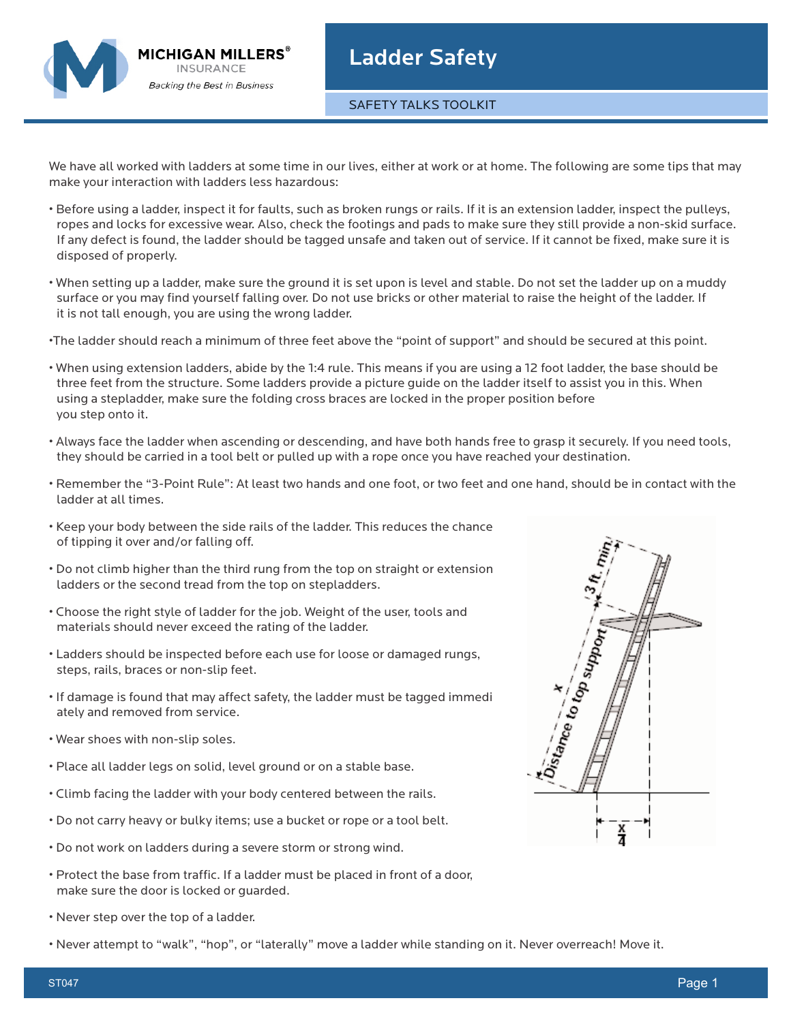

## Ladder Safety

SAFETY TALKS TOOLKIT

We have all worked with ladders at some time in our lives, either at work or at home. The following are some tips that may make your interaction with ladders less hazardous:

- Before using a ladder, inspect it for faults, such as broken rungs or rails. If it is an extension ladder, inspect the pulleys, ropes and locks for excessive wear. Also, check the footings and pads to make sure they still provide a non-skid surface. If any defect is found, the ladder should be tagged unsafe and taken out of service. If it cannot be fixed, make sure it is disposed of properly.
- When setting up a ladder, make sure the ground it is set upon is level and stable. Do not set the ladder up on a muddy surface or you may find yourself falling over. Do not use bricks or other material to raise the height of the ladder. If it is not tall enough, you are using the wrong ladder.
- •The ladder should reach a minimum of three feet above the "point of support" and should be secured at this point.
- When using extension ladders, abide by the 1:4 rule. This means if you are using a 12 foot ladder, the base should be three feet from the structure. Some ladders provide a picture guide on the ladder itself to assist you in this. When using a stepladder, make sure the folding cross braces are locked in the proper position before you step onto it.
- Always face the ladder when ascending or descending, and have both hands free to grasp it securely. If you need tools, they should be carried in a tool belt or pulled up with a rope once you have reached your destination.
- Remember the "3-Point Rule": At least two hands and one foot, or two feet and one hand, should be in contact with the ladder at all times.
- Keep your body between the side rails of the ladder. This reduces the chance of tipping it over and/or falling off.
- Do not climb higher than the third rung from the top on straight or extension ladders or the second tread from the top on stepladders.
- Choose the right style of ladder for the job. Weight of the user, tools and materials should never exceed the rating of the ladder.
- Ladders should be inspected before each use for loose or damaged rungs, steps, rails, braces or non-slip feet.
- If damage is found that may affect safety, the ladder must be tagged immedi ately and removed from service.
- Wear shoes with non-slip soles.
- Place all ladder legs on solid, level ground or on a stable base.
- Climb facing the ladder with your body centered between the rails.
- Do not carry heavy or bulky items; use a bucket or rope or a tool belt.
- Do not work on ladders during a severe storm or strong wind.
- Protect the base from traffic. If a ladder must be placed in front of a door, make sure the door is locked or guarded.
- Never step over the top of a ladder.
- Never attempt to "walk", "hop", or "laterally" move a ladder while standing on it. Never overreach! Move it.